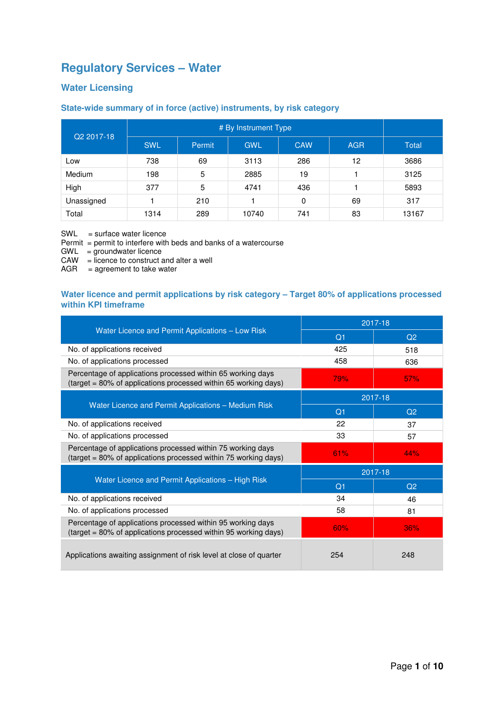# **Regulatory Services – Water**

### **Water Licensing**

### **State-wide summary of in force (active) instruments, by risk category**

| Q2 2017-18 | <b>SWL</b> | <b>Permit</b> | <b>GWL</b> | <b>CAW</b> | <b>AGR</b> | <b>Total</b> |
|------------|------------|---------------|------------|------------|------------|--------------|
| Low        | 738        | 69            | 3113       | 286        | 12         | 3686         |
| Medium     | 198        | 5             | 2885       | 19         |            | 3125         |
| High       | 377        | 5             | 4741       | 436        |            | 5893         |
| Unassigned |            | 210           |            | $\Omega$   | 69         | 317          |
| Total      | 1314       | 289           | 10740      | 741        | 83         | 13167        |

SWL = surface water licence

Permit = permit to interfere with beds and banks of a watercourse

GWL = groundwater licence

CAW = licence to construct and alter a well

 $AGR = agreement to take water$ 

### **Water licence and permit applications by risk category – Target 80% of applications processed within KPI timeframe**

|                                                                                                                                | 2017-18        |                |  |  |
|--------------------------------------------------------------------------------------------------------------------------------|----------------|----------------|--|--|
| Water Licence and Permit Applications - Low Risk                                                                               | Q <sub>1</sub> | Q <sub>2</sub> |  |  |
| No. of applications received                                                                                                   | 425            | 518            |  |  |
| No. of applications processed                                                                                                  | 458            | 636            |  |  |
| Percentage of applications processed within 65 working days<br>(target = 80% of applications processed within 65 working days) | 79%            | 57%            |  |  |
|                                                                                                                                |                | 2017-18        |  |  |
| Water Licence and Permit Applications - Medium Risk                                                                            | Q <sub>1</sub> | Q <sub>2</sub> |  |  |
| No. of applications received                                                                                                   | 22             | 37             |  |  |
| No. of applications processed                                                                                                  | 33             | 57             |  |  |
| Percentage of applications processed within 75 working days<br>(target = 80% of applications processed within 75 working days) | 61%            | 44%            |  |  |
|                                                                                                                                | 2017-18        |                |  |  |
| Water Licence and Permit Applications - High Risk                                                                              | Q <sub>1</sub> | Q <sub>2</sub> |  |  |
| No. of applications received                                                                                                   | 34             | 46             |  |  |
| No. of applications processed                                                                                                  | 58             | 81             |  |  |
| Percentage of applications processed within 95 working days<br>(target = 80% of applications processed within 95 working days) | 60%            | 36%            |  |  |
| Applications awaiting assignment of risk level at close of quarter                                                             | 254            | 248            |  |  |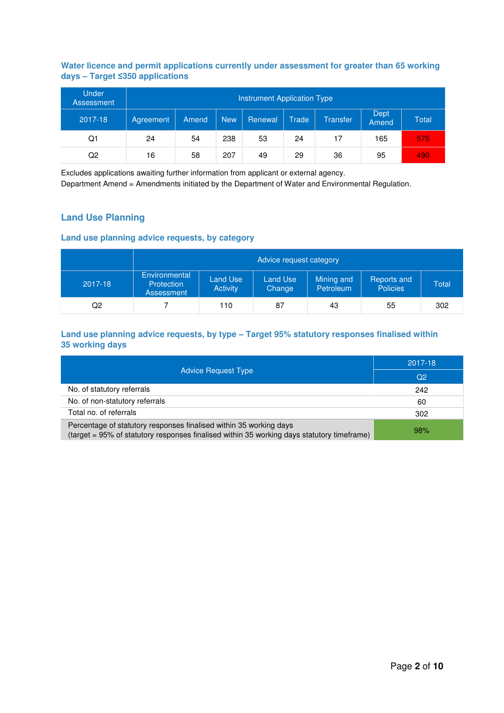### **Water licence and permit applications currently under assessment for greater than 65 working days – Target ≤350 applications**

| <b>Under</b><br>Assessment | Instrument Application Type |       |            |         |              |          |               |       |  |  |
|----------------------------|-----------------------------|-------|------------|---------|--------------|----------|---------------|-------|--|--|
| 2017-18                    | Agreement                   | Amend | <b>New</b> | Renewal | <b>Trade</b> | Transfer | Dept<br>Amend | Total |  |  |
| Q1                         | 24                          | 54    | 238        | 53      | 24           | 17       | 165           | 575   |  |  |
| Q2                         | 16                          | 58    | 207        | 49      | 29           | 36       | 95            | 490   |  |  |

Excludes applications awaiting further information from applicant or external agency.

Department Amend = Amendments initiated by the Department of Water and Environmental Regulation.

### **Land Use Planning**

### **Land use planning advice requests, by category**

|         | Advice request category                          |                             |                           |                                |                                |              |  |  |  |
|---------|--------------------------------------------------|-----------------------------|---------------------------|--------------------------------|--------------------------------|--------------|--|--|--|
| 2017-18 | Environmental<br>Protection<br><b>Assessment</b> | Land Use<br><b>Activity</b> | <b>Land Use</b><br>Change | Mining and<br><b>Petroleum</b> | Reports and<br><b>Policies</b> | <b>Total</b> |  |  |  |
| Q2      |                                                  | 110                         | 87                        | 43                             | 55                             | 302          |  |  |  |

#### **Land use planning advice requests, by type – Target 95% statutory responses finalised within 35 working days**

|                                                                                                                                                                  | 2017-18 |
|------------------------------------------------------------------------------------------------------------------------------------------------------------------|---------|
| <b>Advice Request Type</b>                                                                                                                                       | Q2      |
| No. of statutory referrals                                                                                                                                       | 242     |
| No. of non-statutory referrals                                                                                                                                   | 60      |
| Total no. of referrals                                                                                                                                           | 302     |
| Percentage of statutory responses finalised within 35 working days<br>(target = 95% of statutory responses finalised within 35 working days statutory timeframe) | 98%     |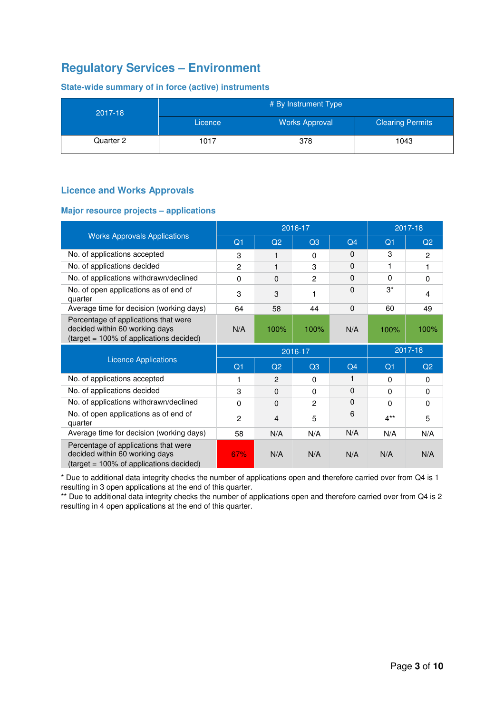# **Regulatory Services – Environment**

**State-wide summary of in force (active) instruments** 

| 2017-18   | # By Instrument Type |                       |                         |  |  |  |  |
|-----------|----------------------|-----------------------|-------------------------|--|--|--|--|
|           | Licence              | <b>Works Approval</b> | <b>Clearing Permits</b> |  |  |  |  |
| Quarter 2 | 1017                 | 378                   | 1043                    |  |  |  |  |

### **Licence and Works Approvals**

### **Major resource projects – applications**

|                                                                                                                   |                |              | 2016-17        |          | 2017-18        |                |
|-------------------------------------------------------------------------------------------------------------------|----------------|--------------|----------------|----------|----------------|----------------|
| <b>Works Approvals Applications</b>                                                                               | Q <sub>1</sub> | Q2           | Q3             | Q4       | Q <sub>1</sub> | Q <sub>2</sub> |
| No. of applications accepted                                                                                      | 3              | 1            | 0              | $\Omega$ | 3              | $\overline{2}$ |
| No. of applications decided                                                                                       | $\overline{2}$ | 1            | 3              | 0        |                | 1              |
| No. of applications withdrawn/declined                                                                            | $\Omega$       | $\Omega$     | $\overline{2}$ | 0        | 0              | $\Omega$       |
| No. of open applications as of end of<br>quarter                                                                  | 3              | 3            | 1              | $\Omega$ | $3^*$          | 4              |
| Average time for decision (working days)                                                                          | 64             | 58           | 44             | $\Omega$ | 60             | 49             |
| Percentage of applications that were<br>decided within 60 working days<br>(target = 100% of applications decided) | N/A            | 100%         | 100%           | N/A      | 100%           | 100%           |
|                                                                                                                   |                |              |                |          |                |                |
|                                                                                                                   |                |              | 2016-17        |          |                | 2017-18        |
| <b>Licence Applications</b>                                                                                       | Q <sub>1</sub> | Q2           | Q3             | Q4       | Q <sub>1</sub> | Q2             |
| No. of applications accepted                                                                                      | 1              | 2            | 0              | 1        | $\Omega$       | $\Omega$       |
| No. of applications decided                                                                                       | 3              | $\mathbf{0}$ | 0              | 0        | 0              | $\Omega$       |
| No. of applications withdrawn/declined                                                                            | $\Omega$       | $\Omega$     | $\overline{2}$ | $\Omega$ | 0              | $\Omega$       |
| No. of open applications as of end of<br>quarter                                                                  | $\overline{2}$ | 4            | 5              | 6        | $4**$          | 5              |
| Average time for decision (working days)                                                                          | 58             | N/A          | N/A            | N/A      | N/A            | N/A            |

\* Due to additional data integrity checks the number of applications open and therefore carried over from Q4 is 1 resulting in 3 open applications at the end of this quarter.

\*\* Due to additional data integrity checks the number of applications open and therefore carried over from Q4 is 2 resulting in 4 open applications at the end of this quarter.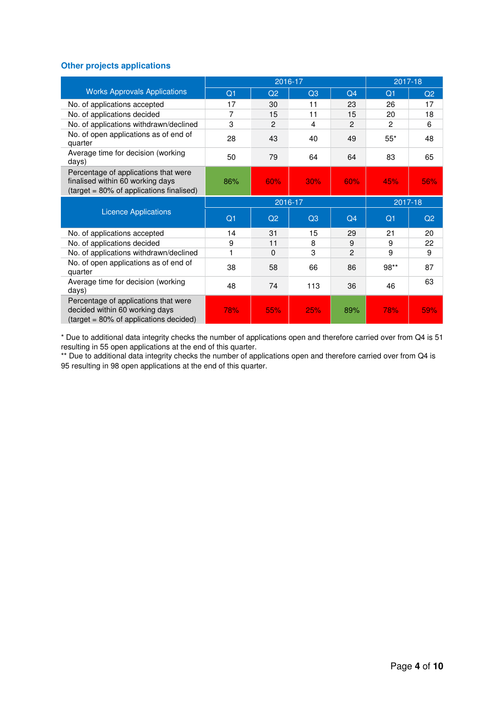### **Other projects applications**

|                                                                                                                      |                | 2016-17       |         | 2017-18        |                |                |
|----------------------------------------------------------------------------------------------------------------------|----------------|---------------|---------|----------------|----------------|----------------|
| <b>Works Approvals Applications</b>                                                                                  | Q <sub>1</sub> | Q2            | Q3      | Q <sub>4</sub> | Q1             | Q <sub>2</sub> |
| No. of applications accepted                                                                                         | 17             | 30            | 11      | 23             | 26             | 17             |
| No. of applications decided                                                                                          | 7              | 15            | 11      | 15             | 20             | 18             |
| No. of applications withdrawn/declined                                                                               | 3              | $\mathcal{P}$ | 4       | $\mathcal{P}$  | $\mathfrak{p}$ | 6              |
| No. of open applications as of end of<br>quarter                                                                     | 28             | 43            | 40      | 49             | $55*$          | 48             |
| Average time for decision (working<br>days)                                                                          | 50             | 79            | 64      | 64             | 83             | 65             |
| Percentage of applications that were<br>finalised within 60 working days<br>(target = 80% of applications finalised) | 86%            | 60%           | 30%     | 60%            | 45%            | 56%            |
|                                                                                                                      |                | 2016-17       | 2017-18 |                |                |                |
| <b>Licence Applications</b>                                                                                          | Q <sub>1</sub> | Q2            | Q3      | Q <sub>4</sub> | Q <sub>1</sub> | Q <sub>2</sub> |
| No. of applications accepted                                                                                         | 14             | 31            | 15      | 29             | 21             | 20             |
| No. of applications decided                                                                                          | 9              | 11            | 8       | 9              | 9              | 22             |
| No. of applications withdrawn/declined                                                                               |                | 0             | 3       | $\overline{2}$ | 9              | 9              |
| No. of open applications as of end of<br>quarter                                                                     | 38             | 58            | 66      | 86             | $98**$         | 87             |
| Average time for decision (working<br>days)                                                                          | 48             | 74            | 113     | 36             | 46             | 63             |
| Percentage of applications that were<br>decided within 60 working days<br>(target = 80% of applications decided)     | 78%            | 55%           | 25%     | 89%            | 78%            | 59%            |

\* Due to additional data integrity checks the number of applications open and therefore carried over from Q4 is 51 resulting in 55 open applications at the end of this quarter.

\*\* Due to additional data integrity checks the number of applications open and therefore carried over from Q4 is 95 resulting in 98 open applications at the end of this quarter.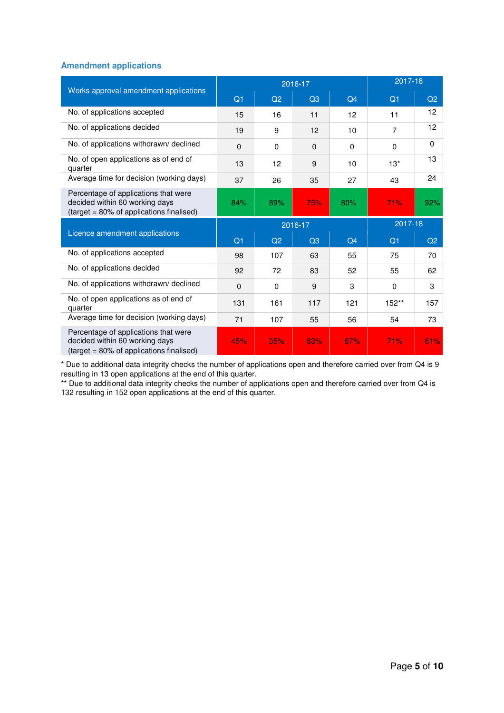#### **Amendment applications**

| Works approval amendment applications                                                                              |                |                | 2016-17  |                | 2017-18        |          |
|--------------------------------------------------------------------------------------------------------------------|----------------|----------------|----------|----------------|----------------|----------|
|                                                                                                                    | Q1             | Q2             | Q3       | Q <sub>4</sub> | Q <sub>1</sub> | Q2       |
| No. of applications accepted                                                                                       | 15             | 16             | 11       | 12             | 11             | 12       |
| No. of applications decided                                                                                        | 19             | 9              | 12       | 10             | $\overline{7}$ | 12       |
| No. of applications withdrawn/declined                                                                             | $\Omega$       | $\Omega$       | $\Omega$ | $\Omega$       | $\Omega$       | $\Omega$ |
| No. of open applications as of end of<br>quarter                                                                   | 13             | 12             | 9        | 10             | $13*$          | 13       |
| Average time for decision (working days)                                                                           | 37             | 26             | 35       | 27             | 43             | 24       |
| Percentage of applications that were<br>decided within 60 working days<br>(target = 80% of applications finalised) | 84%            | 89%            | 75%      | 80%            | 71%            | 92%      |
|                                                                                                                    |                | 2016-17        |          | 2017-18        |                |          |
| Licence amendment applications                                                                                     | Q <sub>1</sub> | Q <sub>2</sub> | Q3       | Q <sub>4</sub> | Q <sub>1</sub> | Q2       |
| No. of applications accepted                                                                                       | 98             | 107            | 63       | 55             | 75             | 70       |
| No. of applications decided                                                                                        | 92             | 72             | 83       | 52             | 55             | 62       |
| No. of applications withdrawn/declined                                                                             | $\Omega$       | $\Omega$       | 9        | 3              | $\Omega$       | 3        |
| No. of open applications as of end of<br>quarter                                                                   | 131            | 161            | 117      | 121            | $152**$        | 157      |
| Average time for decision (working days)                                                                           | 71             | 107            | 55       | 56             | 54             | 73       |
| Percentage of applications that were<br>decided within 60 working days<br>(target = 80% of applications finalised) | 45%            | 35%            | 63%      | 67%            | 71%            | 61%      |

\* Due to additional data integrity checks the number of applications open and therefore carried over from Q4 is 9 resulting in 13 open applications at the end of this quarter.

\*\* Due to additional data integrity checks the number of applications open and therefore carried over from Q4 is 132 resulting in 152 open applications at the end of this quarter.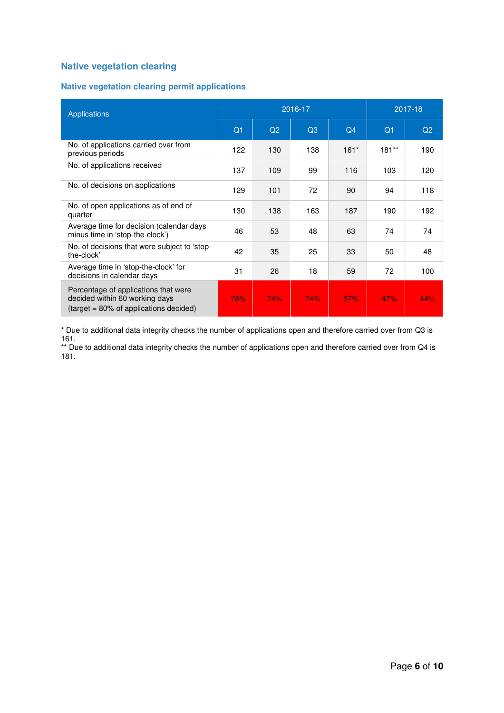# **Native vegetation clearing**

### **Native vegetation clearing permit applications**

| <b>Applications</b>                                                                                                 |                | 2016-17 | 2017-18 |                |                |                |
|---------------------------------------------------------------------------------------------------------------------|----------------|---------|---------|----------------|----------------|----------------|
|                                                                                                                     | Q <sub>1</sub> | Q2      | Q3      | Q <sub>4</sub> | Q <sub>1</sub> | Q <sub>2</sub> |
| No. of applications carried over from<br>previous periods                                                           | 122            | 130     | 138     | $161*$         | $181**$        | 190            |
| No. of applications received                                                                                        | 137            | 109     | 99      | 116            | 103            | 120            |
| No. of decisions on applications                                                                                    | 129            | 101     | 72      | 90             | 94             | 118            |
| No. of open applications as of end of<br>quarter                                                                    | 130            | 138     | 163     | 187            | 190            | 192            |
| Average time for decision (calendar days<br>minus time in 'stop-the-clock')                                         | 46             | 53      | 48      | 63             | 74             | 74             |
| No. of decisions that were subject to 'stop-<br>the-clock'                                                          | 42             | 35      | 25      | 33             | 50             | 48             |
| Average time in 'stop-the-clock' for<br>decisions in calendar days                                                  | 31             | 26      | 18      | 59             | 72             | 100            |
| Percentage of applications that were<br>decided within 60 working days<br>$(target = 80\% of applications decided)$ | 76%            | 74%     | 74%     | 57%            | 47%            | 44%            |

\* Due to additional data integrity checks the number of applications open and therefore carried over from Q3 is 161.

\*\* Due to additional data integrity checks the number of applications open and therefore carried over from Q4 is 181.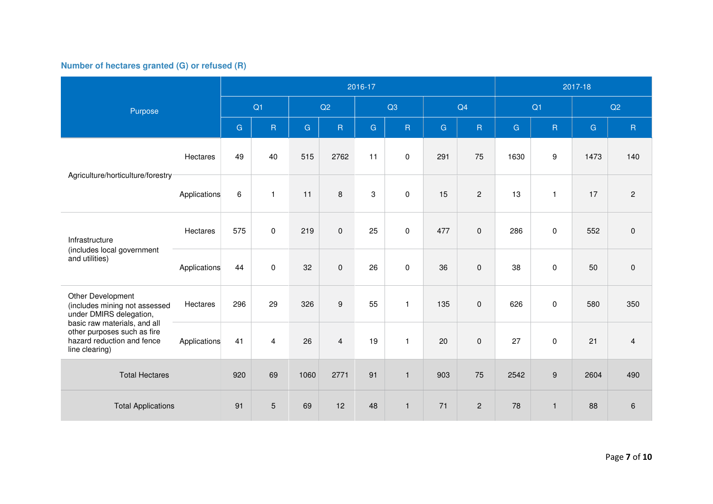## **Number of hectares granted (G) or refused (R)**

|                                                                                                             |              | 2016-17      |                |      |                  |              |              |              |                | 2017-18 |                |           |                |
|-------------------------------------------------------------------------------------------------------------|--------------|--------------|----------------|------|------------------|--------------|--------------|--------------|----------------|---------|----------------|-----------|----------------|
| Purpose                                                                                                     |              | Q1           |                |      | Q2               |              | Q3           |              | Q4             |         | Q1             |           | Q2             |
|                                                                                                             |              | $\mathbf{G}$ | $\mathsf R$    | G    | $\mathsf R$      | $\mathsf{G}$ | $\sf R$      | $\mathbf{G}$ | R              | G       | $\overline{R}$ | ${\bf G}$ | ${\sf R}$      |
| Agriculture/horticulture/forestry                                                                           | Hectares     | 49           | 40             | 515  | 2762             | 11           | 0            | 291          | 75             | 1630    | 9              | 1473      | 140            |
|                                                                                                             | Applications | $\,6\,$      | $\mathbf{1}$   | 11   | $\,8\,$          | 3            | $\pmb{0}$    | 15           | $\overline{2}$ | 13      | $\mathbf{1}$   | 17        | $\overline{2}$ |
| Infrastructure                                                                                              | Hectares     | 575          | 0              | 219  | $\pmb{0}$        | 25           | 0            | 477          | $\mathbf{0}$   | 286     | 0              | 552       | $\pmb{0}$      |
| (includes local government<br>and utilities)                                                                | Applications | 44           | $\mathbf 0$    | 32   | $\mathbf 0$      | 26           | $\pmb{0}$    | 36           | $\mathbf 0$    | 38      | $\mathbf 0$    | 50        | $\pmb{0}$      |
| Other Development<br>(includes mining not assessed<br>under DMIRS delegation,                               | Hectares     | 296          | 29             | 326  | $\boldsymbol{9}$ | 55           | $\mathbf{1}$ | 135          | $\mathbf 0$    | 626     | $\pmb{0}$      | 580       | 350            |
| basic raw materials, and all<br>other purposes such as fire<br>hazard reduction and fence<br>line clearing) | Applications | 41           | $\overline{4}$ | 26   | $\overline{4}$   | 19           | $\mathbf{1}$ | 20           | 0              | 27      | 0              | 21        | $\overline{4}$ |
| <b>Total Hectares</b>                                                                                       |              | 920          | 69             | 1060 | 2771             | 91           | $\mathbf{1}$ | 903          | 75             | 2542    | 9              | 2604      | 490            |
| <b>Total Applications</b>                                                                                   |              | 91           | 5              | 69   | 12               | 48           | $\mathbf{1}$ | 71           | $\overline{2}$ | 78      | $\mathbf{1}$   | 88        | $\,6$          |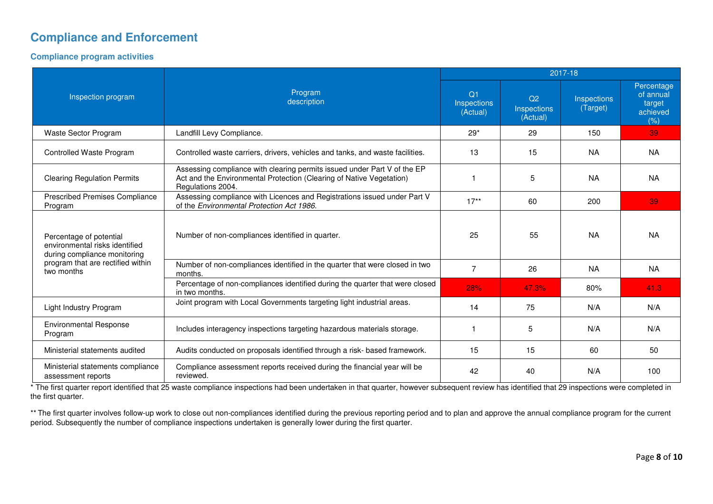# **Compliance and Enforcement**

#### **Compliance program activities**

|                                                                                           |                                                                                                                                                                       |                                       |                                           | 2017-18                 |                                                       |
|-------------------------------------------------------------------------------------------|-----------------------------------------------------------------------------------------------------------------------------------------------------------------------|---------------------------------------|-------------------------------------------|-------------------------|-------------------------------------------------------|
| Inspection program                                                                        | Program<br>description                                                                                                                                                | $\Omega$ 1<br>Inspections<br>(Actual) | Q <sub>2</sub><br>Inspections<br>(Actual) | Inspections<br>(Target) | Percentage<br>of annual<br>target<br>achieved<br>(% ) |
| Waste Sector Program                                                                      | Landfill Levy Compliance.                                                                                                                                             | $29*$                                 | 29                                        | 150                     | 39                                                    |
| Controlled Waste Program                                                                  | Controlled waste carriers, drivers, vehicles and tanks, and waste facilities.                                                                                         | 13                                    | 15                                        | <b>NA</b>               | <b>NA</b>                                             |
| <b>Clearing Regulation Permits</b>                                                        | Assessing compliance with clearing permits issued under Part V of the EP<br>Act and the Environmental Protection (Clearing of Native Vegetation)<br>Regulations 2004. |                                       | 5                                         | <b>NA</b>               | <b>NA</b>                                             |
| <b>Prescribed Premises Compliance</b><br>Program                                          | Assessing compliance with Licences and Registrations issued under Part V<br>of the Environmental Protection Act 1986.                                                 | $17**$                                | 60                                        | 200                     | 39                                                    |
| Percentage of potential<br>environmental risks identified<br>during compliance monitoring | Number of non-compliances identified in quarter.                                                                                                                      | 25                                    | 55                                        | <b>NA</b>               | <b>NA</b>                                             |
| program that are rectified within<br>two months                                           | Number of non-compliances identified in the quarter that were closed in two<br>months.                                                                                | $\overline{7}$                        | 26                                        | <b>NA</b>               | <b>NA</b>                                             |
|                                                                                           | Percentage of non-compliances identified during the quarter that were closed<br>in two months.                                                                        | 28%                                   | 47.3%                                     | 80%                     | 41.3                                                  |
| Light Industry Program                                                                    | Joint program with Local Governments targeting light industrial areas.                                                                                                | 14                                    | 75                                        | N/A                     | N/A                                                   |
| <b>Environmental Response</b><br>Program                                                  | Includes interagency inspections targeting hazardous materials storage.                                                                                               |                                       | 5                                         | N/A                     | N/A                                                   |
| Ministerial statements audited                                                            | Audits conducted on proposals identified through a risk- based framework.                                                                                             | 15                                    | 15                                        | 60                      | 50                                                    |
| Ministerial statements compliance<br>assessment reports                                   | Compliance assessment reports received during the financial year will be<br>reviewed.                                                                                 | 42                                    | 40                                        | N/A                     | 100                                                   |

\* The first quarter report identified that 25 waste compliance inspections had been undertaken in that quarter, however subsequent review has identified that 29 inspections were completed in the first quarter.

\*\* The first quarter involves follow-up work to close out non-compliances identified during the previous reporting period and to plan and approve the annual compliance program for the current period. Subsequently the number of compliance inspections undertaken is generally lower during the first quarter.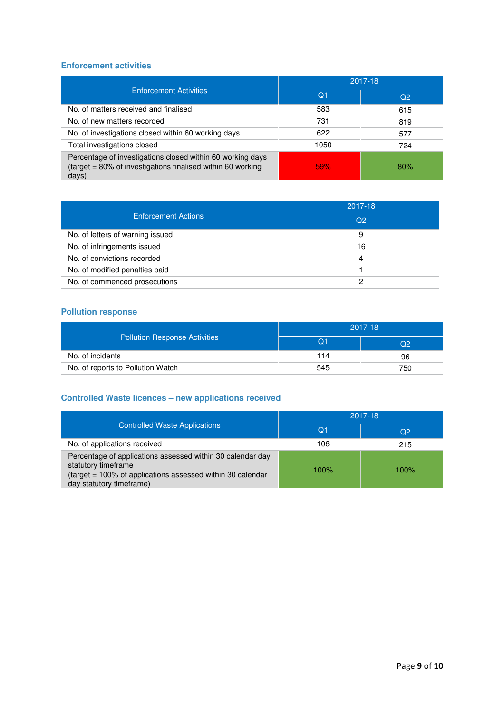### **Enforcement activities**

| <b>Enforcement Activities</b>                                                                                                      | 2017-18    |                |  |
|------------------------------------------------------------------------------------------------------------------------------------|------------|----------------|--|
|                                                                                                                                    | $\Omega$ 1 | Q <sub>2</sub> |  |
| No. of matters received and finalised                                                                                              | 583        | 615            |  |
| No. of new matters recorded                                                                                                        | 731        | 819            |  |
| No. of investigations closed within 60 working days                                                                                | 622        | 577            |  |
| Total investigations closed                                                                                                        | 1050       | 724            |  |
| Percentage of investigations closed within 60 working days<br>(target = 80% of investigations finalised within 60 working<br>days) | 59%        | 80%            |  |

| <b>Enforcement Actions</b>       | 2017-18        |  |  |
|----------------------------------|----------------|--|--|
|                                  | O <sub>2</sub> |  |  |
| No. of letters of warning issued | 9              |  |  |
| No. of infringements issued      | 16             |  |  |
| No. of convictions recorded      | 4              |  |  |
| No. of modified penalties paid   |                |  |  |
| No. of commenced prosecutions    |                |  |  |

## **Pollution response**

| <b>Pollution Response Activities</b> | 2017-18 |     |  |
|--------------------------------------|---------|-----|--|
|                                      | O1      | လ2  |  |
| No. of incidents                     | 114     | 96  |  |
| No. of reports to Pollution Watch    | 545     | 750 |  |

# **Controlled Waste licences – new applications received**

| <b>Controlled Waste Applications</b>                                                                                                                                        | 2017-18 |         |  |
|-----------------------------------------------------------------------------------------------------------------------------------------------------------------------------|---------|---------|--|
|                                                                                                                                                                             | Q1      | Q2      |  |
| No. of applications received                                                                                                                                                | 106     | 215     |  |
| Percentage of applications assessed within 30 calendar day<br>statutory timeframe<br>(target = 100% of applications assessed within 30 calendar<br>day statutory timeframe) | $100\%$ | $100\%$ |  |